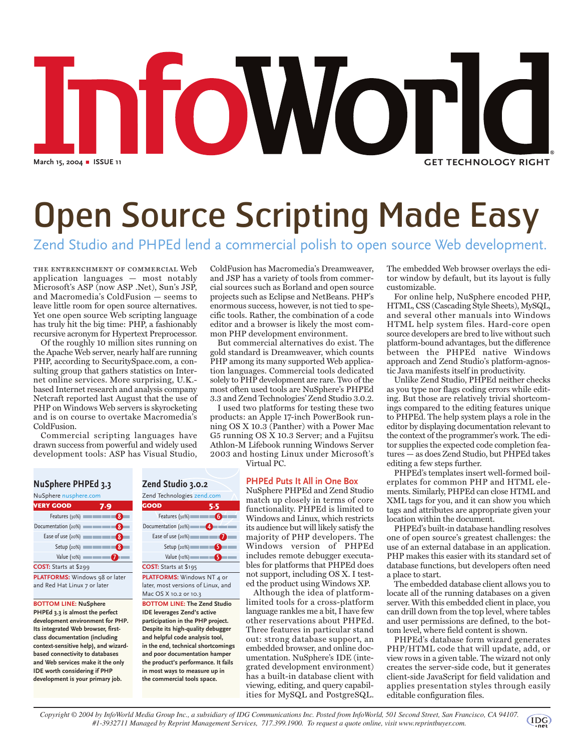# nfoWorld **March 15, 2004** b **ISSUE 11 GET TECHNOLOGY RIGHT**

## Open Source Scripting Made Easy

### Zend Studio and PHPEd lend a commercial polish to open source Web development.

the entrenchment of commercial Web application languages — most notably Microsoft's ASP (now ASP .Net), Sun's JSP, and Macromedia's ColdFusion — seems to leave little room for open source alternatives. Yet one open source Web scripting language has truly hit the big time: PHP, a fashionably recursive acronym for Hypertext Preprocessor.

Of the roughly 10 million sites running on the Apache Web server, nearly half are running PHP, according to SecuritySpace.com, a consulting group that gathers statistics on Internet online services. More surprising, U.K. based Internet research and analysis company Netcraft reported last August that the use of PHP on Windows Web servers is skyrocketing and is on course to overtake Macromedia's ColdFusion.

Commercial scripting languages have drawn success from powerful and widely used development tools: ASP has Visual Studio,

ColdFusion has Macromedia's Dreamweaver, and JSP has a variety of tools from commercial sources such as Borland and open source projects such as Eclipse and NetBeans. PHP's enormous success, however, is not tied to specific tools. Rather, the combination of a code editor and a browser is likely the most common PHP development environment.

But commercial alternatives do exist. The gold standard is Dreamweaver, which counts PHP among its many supported Web application languages. Commercial tools dedicated solely to PHP development are rare. Two of the most often used tools are NuSphere's PHPEd 3.3 and Zend Technologies' Zend Studio 3.0.2.

I used two platforms for testing these two products: an Apple 17-inch PowerBook running OS X 10.3 (Panther) with a Power Mac G5 running OS X 10.3 Server; and a Fujitsu Athlon-M Lifebook running Windows Server 2003 and hosting Linux under Microsoft's

Virtual PC.

#### **PHPEd Puts It All in One Box**

NuSphere PHPEd and Zend Studio match up closely in terms of core functionality. PHPEd is limited to Windows and Linux, which restricts its audience but will likely satisfy the majority of PHP developers. The Windows version of PHPEd includes remote debugger executables for platforms that PHPEd does not support, including OS X. I tested the product using Windows XP.

Although the idea of platformlimited tools for a cross-platform language rankles me a bit,  $\hat{I}$  have few other reservations about PHPEd. Three features in particular stand out: strong database support, an embedded browser, and online documentation. NuSphere's IDE (integrated development environment) has a built-in database client with viewing, editing, and query capabilities for MySQL and PostgreSQL.

The embedded Web browser overlays the editor window by default, but its layout is fully customizable.

For online help, NuSphere encoded PHP, HTML, CSS (Cascading Style Sheets), MySQL, and several other manuals into Windows HTML help system files. Hard-core open source developers are bred to live without such platform-bound advantages, but the difference between the PHPEd native Windows approach and Zend Studio's platform-agnostic Java manifests itself in productivity.

Unlike Zend Studio, PHPEd neither checks as you type nor flags coding errors while editing. But those are relatively trivial shortcomings compared to the editing features unique to PHPEd. The help system plays a role in the editor by displaying documentation relevant to the context of the programmer's work. The editor supplies the expected code completion features — as does Zend Studio, but PHPEd takes editing a few steps further.

PHPEd's templates insert well-formed boilerplates for common PHP and HTML elements. Similarly, PHPEd can close HTML and XML tags for you, and it can show you which tags and attributes are appropriate given your location within the document.

PHPEd's built-in database handling resolves one of open source's greatest challenges: the use of an external database in an application. PHP makes this easier with its standard set of database functions, but developers often need a place to start.

The embedded database client allows you to locate all of the running databases on a given server. With this embedded client in place, you can drill down from the top level, where tables and user permissions are defined, to the bottom level, where field content is shown.

PHPEd's database form wizard generates PHP/HTML code that will update, add, or view rows in a given table. The wizard not only creates the server-side code, but it generates client-side JavaScript for field validation and applies presentation styles through easily editable configuration files.

#### **NuSphere PHPEd 3.3**

| NuSphere nusphere.com                     |  |  |
|-------------------------------------------|--|--|
| <b>VERY GOOD</b><br>7.9                   |  |  |
| Features (30%)                            |  |  |
| Documentation (20%)<br>♦                  |  |  |
| Ease of use (20%) <b>CONFIRMERS</b><br>ſ8 |  |  |
| Setup(20%)<br>ſΩ                          |  |  |
| Value $(10%)$                             |  |  |
| COST: Starts at \$299                     |  |  |
| PLATFORMS: Windows 98 or later            |  |  |
| and Red Hat Linux 7 or later              |  |  |

#### **BOTTOM LINE: NuSphere**

**PHPEd 3.3 is almost the perfect development environment for PHP. Its integrated Web browser, firstclass documentation (including context-sensitive help), and wizardbased connectivity to databases and Web services make it the only IDE worth considering if PHP development is your primary job.**

#### **Zend Studio 3.0.2** Zend Technologies zend.com

| GOOD                               | 5.5 |
|------------------------------------|-----|
| Features (30%)                     |     |
| Documentation (20%)                |     |
| Ease of use (20%)                  |     |
| Setup (20%)                        |     |
| Value (10%)                        |     |
| COST: Starts at \$195              |     |
| PLATFORMS: Windows NT 4 or         |     |
| later, most versions of Linux, and |     |
| Mac OS X 10.2 or 10.3              |     |

**BOTTOM LINE: The Zend Studio IDE leverages Zend's active participation in the PHP project. Despite its high-quality debugger and helpful code analysis tool, in the end, technical shortcomings and poor documentation hamper the product's performance. It fails in most ways to measure up in the commercial tools space.**

*Copyright © 2004 by InfoWorld Media Group Inc., a subsidiary of IDG Communications Inc. Posted from InfoWorld, 501 Second Street, San Francisco, CA 94107. #1-3932711 Managed by Reprint Management Services, 717.399.1900. To request a quote online, visit www.reprintbuyer.com.*